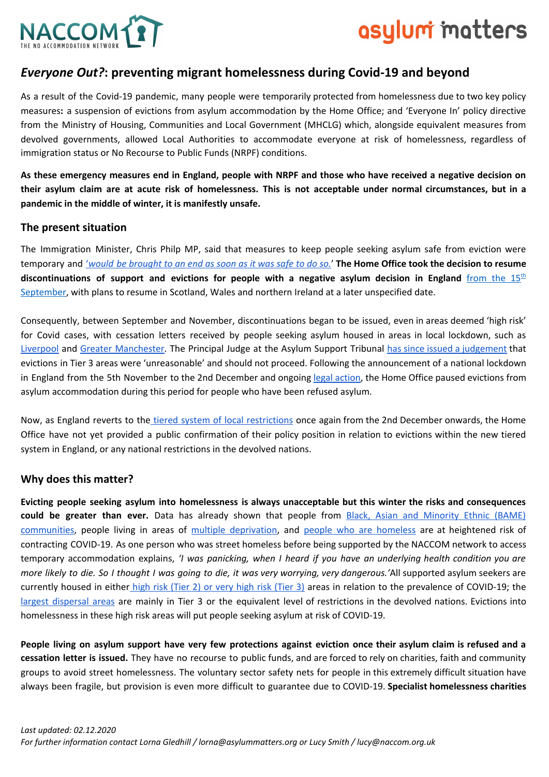

# asylum matters

## *Everyone Out?***: preventing migrant homelessness during Covid-19 and beyond**

As a result of the Covid-19 pandemic, many people were temporarily protected from homelessness due to two key policy measures**:** a suspension of evictions from asylum accommodation by the Home Office; and 'Everyone In' policy directive from the Ministry of Housing, Communities and Local Government (MHCLG) which, alongside equivalent measures from devolved governments, allowed Local Authorities to accommodate everyone at risk of homelessness, regardless of immigration status or No Recourse to Public Funds (NRPF) conditions.

As these emergency measures end in England, people with NRPF and those who have received a negative decision on their asylum claim are at acute risk of homelessness. This is not acceptable under normal circumstances, but in a **pandemic in the middle of winter, it is manifestly unsafe.**

### **The present situation**

The Immigration Minister, Chris Philp MP, said that measures to keep people seeking asylum safe from eviction were temporary and ['](https://questions-statements.parliament.uk/written-questions/detail/2020-09-21/92788)would be [brought](https://questions-statements.parliament.uk/written-questions/detail/2020-09-21/92788) to an end as soon as it was safe to do so.' The Home Office took the decision to resume **discontinuations of support and evictions for people with a negative asylum decision in England** [from](https://www.independent.co.uk/news/uk/home-news/asylum-seekers-evictions-home-office-coronavirus-second-wave-b486062.html) the 15 [th](https://www.independent.co.uk/news/uk/home-news/asylum-seekers-evictions-home-office-coronavirus-second-wave-b486062.html) [September,](https://www.independent.co.uk/news/uk/home-news/asylum-seekers-evictions-home-office-coronavirus-second-wave-b486062.html) with plans to resume in Scotland, Wales and northern Ireland at a later unspecified date.

Consequently, between September and November, discontinuations began to be issued, even in areas deemed 'high risk' for Covid cases, with cessation letters received by people seeking asylum housed in areas in local lockdown, such as [Liverpool](https://www.liverpoolecho.co.uk/news/liverpool-news/home-office-eviction-policy-leaving-19066828?fbclid=IwAR19WETuqlzz-jxefZQ1Xo2KpHEnjXWMG0d9MDZVpnBSFdPI2BzEQ7yGsBU) and Greater [Manchester.](https://www.independent.co.uk/news/uk/home-news/asylum-seekers-eviction-lockdown-coronavirus-home-office-b913200.html) The Principal Judge at the Asylum Support Tribunal has since issued a [judgement](https://assets.publishing.service.gov.uk/media/5fa54f22e90e07041dd0fc19/PA.MA.42397_and_42386.Reasons_Statement.S4_disc.SHS.pdf) that evictions in Tier 3 areas were 'unreasonable' and should not proceed. Following the announcement of a national lockdown in England from the 5th November to the 2nd December and ongoing legal [action,](http://www.asaproject.org/uploads/High_Court_interim_order_preventing_s4_evictions_2.11.20.docx) the Home Office paused evictions from asylum accommodation during this period for people who have been refused asylum.

Now, as England reverts to the tiered system of local [restrictions](https://www.gov.uk/guidance/full-list-of-local-restriction-tiers-by-area) once again from the 2nd December onwards, the Home Office have not yet provided a public confirmation of their policy position in relation to evictions within the new tiered system in England, or any national restrictions in the devolved nations.

### **Why does this matter?**

Evicting people seeking asylum into homelessness is always unacceptable but this winter the risks and consequences **could be greater than ever.** Data has already shown that people from Black, Asian and [Minority](https://assets.publishing.service.gov.uk/government/uploads/system/uploads/attachment_data/file/892376/COVID_stakeholder_engagement_synthesis_beyond_the_data.pdf) Ethnic (BAME) [communities](https://assets.publishing.service.gov.uk/government/uploads/system/uploads/attachment_data/file/892376/COVID_stakeholder_engagement_synthesis_beyond_the_data.pdf), people living in areas of multiple [deprivation,](https://www.ons.gov.uk/peoplepopulationandcommunity/birthsdeathsandmarriages/deaths/articles/updatingethniccontrastsindeathsinvolvingthecoronaviruscovid19englandandwales/deathsoccurring2marchto28july2020#main-points) and people who are [homeless](https://www.thelancet.com/journals/lanres/article/PIIS2213-2600(20)30396-9/fulltext) are at heightened risk of contracting COVID-19. As one person who was street homeless before being supported by the NACCOM network to access temporary accommodation explains, *'I was panicking, when I heard if you have an underlying health condition you are* more likely to die. So I thought I was going to die, it was very worrying, very dangerous.'All supported asylum seekers are currently housed in either high risk [\(Tier](https://www.gov.uk/guidance/full-list-of-local-restriction-tiers-by-area) 2) or v[e](http://www.andyhewett.com/section-95-by-local-authority)ry high risk (Tier 3) areas in relation to the prevalence of COVID-19; the largest [dispersal](http://www.andyhewett.com/section-95-by-local-authority) areas are mainly in Tier 3 or the equivalent level of restrictions in the devolved nations. Evictions into homelessness in these high risk areas will put people seeking asylum at risk of COVID-19.

People living on asylum support have very few protections against eviction once their asylum claim is refused and a **cessation letter is issued.** They have no recourse to public funds, and are forced to rely on charities, faith and community groups to avoid street homelessness. The voluntary sector safety nets for people in this extremely difficult situation have always been fragile, but provision is even more difficult to guarantee due to COVID-19. **Specialist homelessness charities**